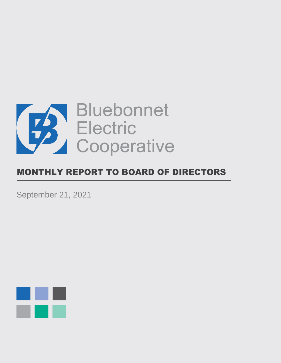

# MONTHLY REPORT TO BOARD OF DIRECTORS

September 21, 2021

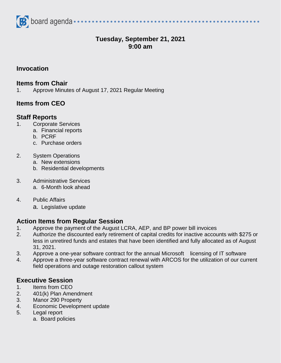

# **Tuesday, September 21, 2021 9:00 am**

#### **Invocation**

#### **Items from Chair**

1. Approve Minutes of August 17, 2021 Regular Meeting

## **Items from CEO**

#### **Staff Reports**

- 1. Corporate Services
	- a. Financial reports
	- b. PCRF
	- c. Purchase orders

#### 2. System Operations

- a. New extensions
- b. Residential developments
- 3. Administrative Services a. 6-Month look ahead
- 4. Public Affairs
	- a. Legislative update

### **Action Items from Regular Session**

- 1. Approve the payment of the August LCRA, AEP, and BP power bill invoices
- 2. Authorize the discounted early retirement of capital credits for inactive accounts with \$275 or less in unretired funds and estates that have been identified and fully allocated as of August 31, 2021.
- 3. Approve a one-year software contract for the annual Microsoft licensing of IT software
- 4. Approve a three-year software contract renewal with ARCOS for the utilization of our current field operations and outage restoration callout system

### **Executive Session**

- 1. Items from CEO
- 2. 401(k) Plan Amendment
- 3. Manor 290 Property
- 4. Economic Development update
- 5. Legal report
	- a. Board policies